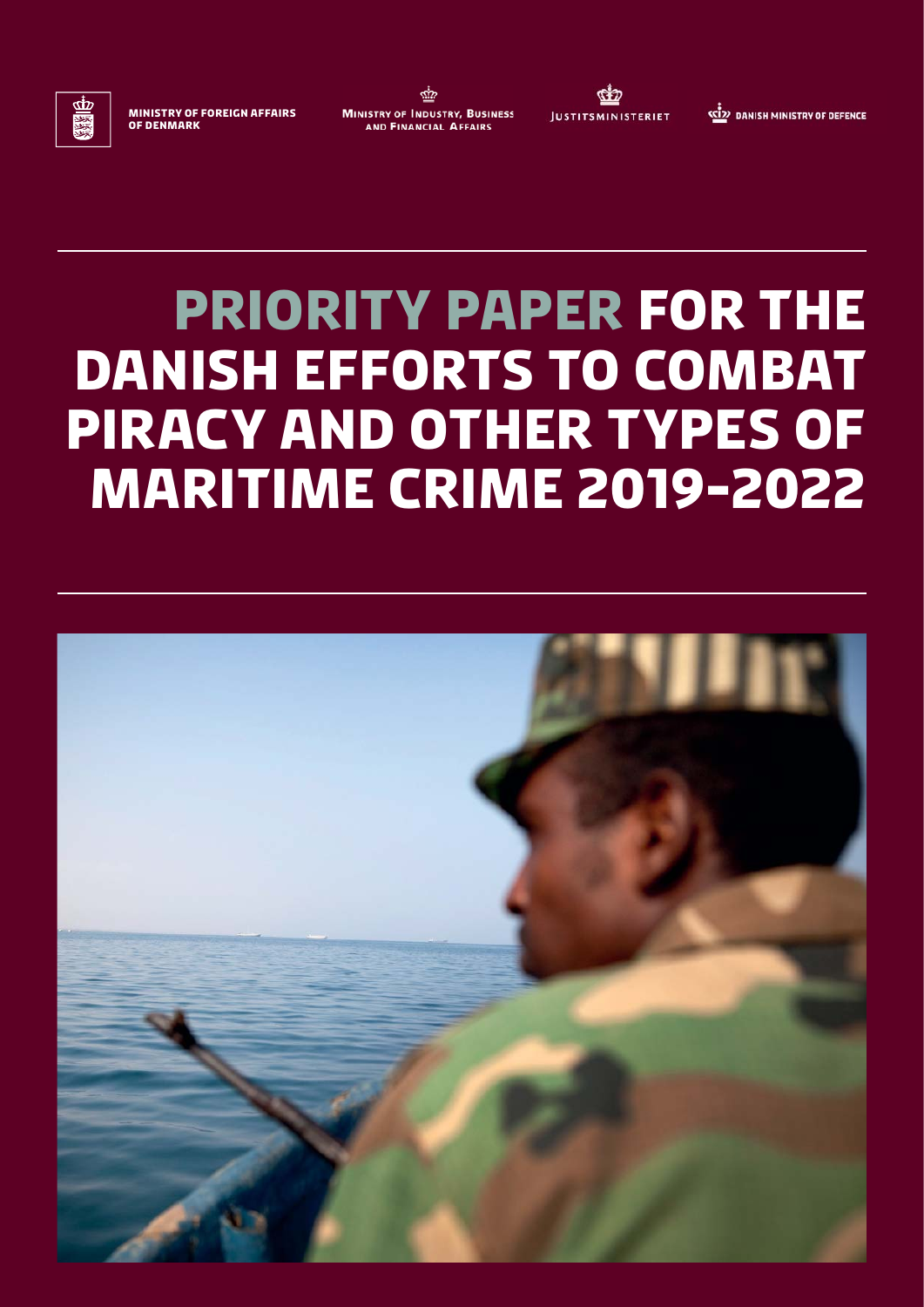

**MINISTRY OF FOREIGN AFFAIRS OF DENMARK** 

*या*Ω **MINISTRY OF INDUSTRY, BUSINESS AND FINANCIAL AFFAIRS** 

Ŵ **IUSTITSMINISTERIET** 

# **PRIORITY PAPER FOR THE DANISH EFFORTS TO COMBAT PIRACY AND OTHER TYPES OF MARITIME CRIME 2019-2022**

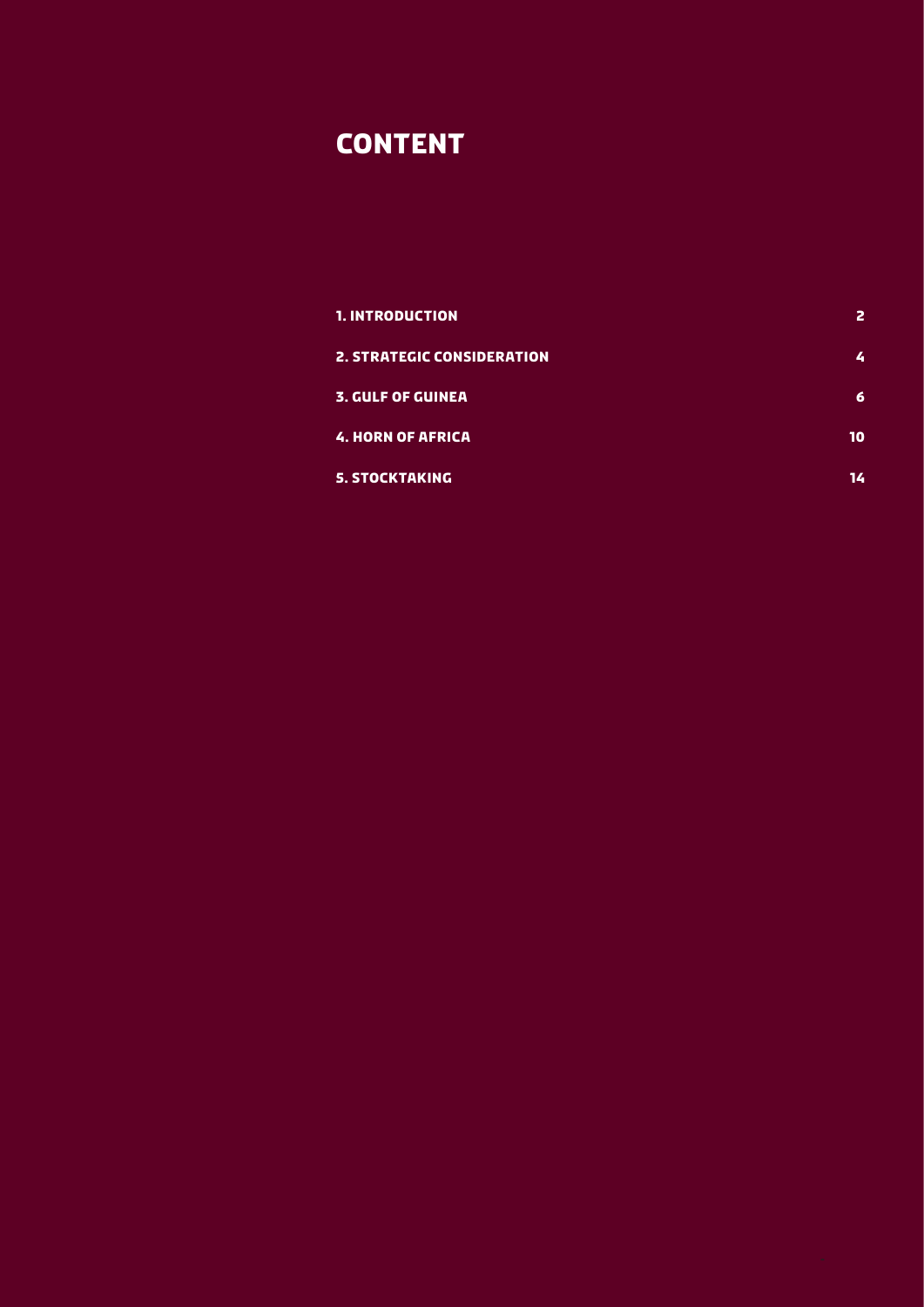### **CONTENT**

| <b>1. INTRODUCTION</b>            | 2  |
|-----------------------------------|----|
| <b>2. STRATEGIC CONSIDERATION</b> | 4  |
| <b>3. GULF OF GUINEA</b>          | 6  |
| <b>4. HORN OF AFRICA</b>          | 10 |
| <b>5. STOCKTAKING</b>             | 14 |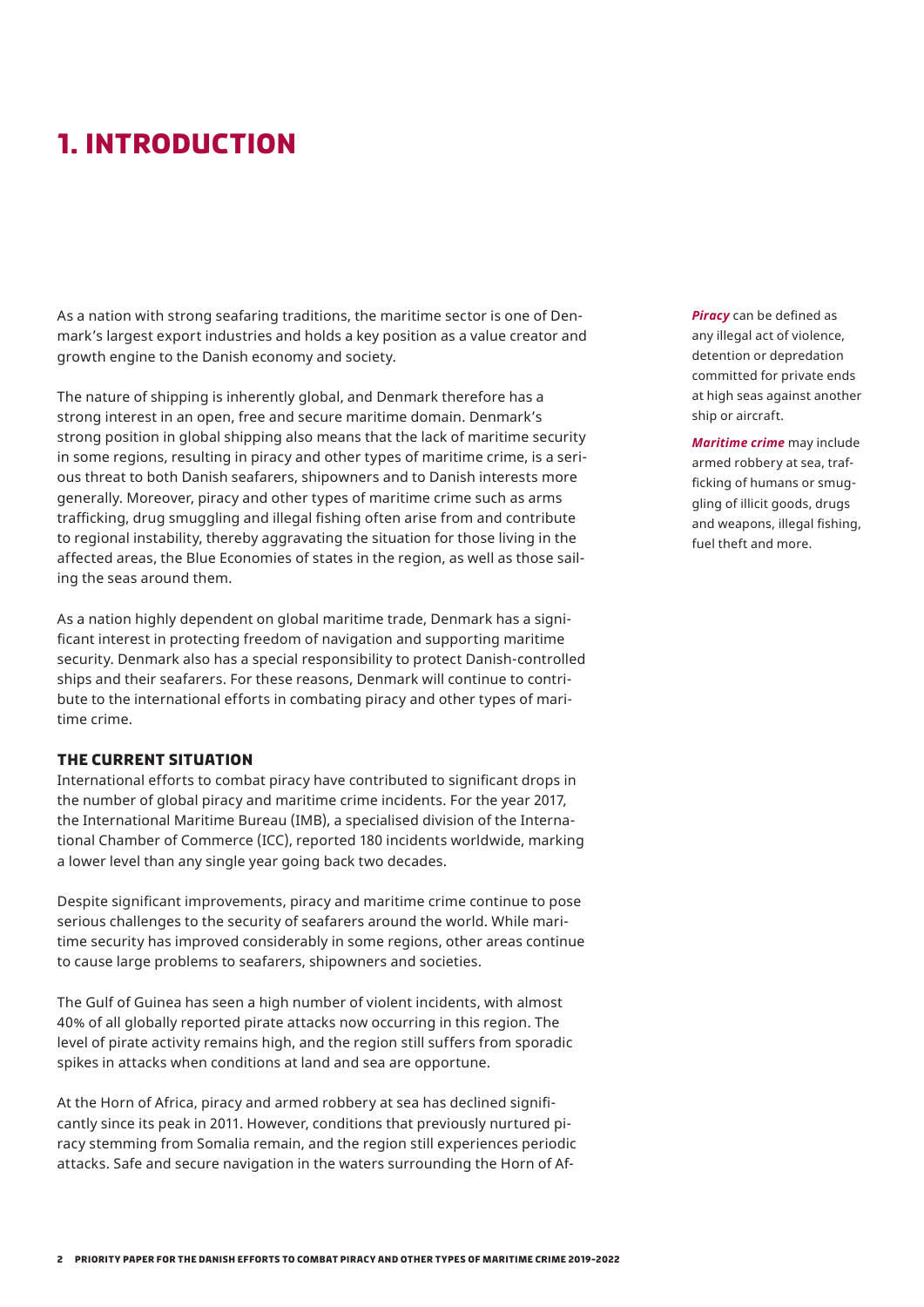### **1. INTRODUCTION**

As a nation with strong seafaring traditions, the maritime sector is one of Denmark's largest export industries and holds a key position as a value creator and growth engine to the Danish economy and society.

The nature of shipping is inherently global, and Denmark therefore has a strong interest in an open, free and secure maritime domain. Denmark's strong position in global shipping also means that the lack of maritime security in some regions, resulting in piracy and other types of maritime crime, is a serious threat to both Danish seafarers, shipowners and to Danish interests more generally. Moreover, piracy and other types of maritime crime such as arms trafficking, drug smuggling and illegal fishing often arise from and contribute to regional instability, thereby aggravating the situation for those living in the affected areas, the Blue Economies of states in the region, as well as those sailing the seas around them.

As a nation highly dependent on global maritime trade, Denmark has a significant interest in protecting freedom of navigation and supporting maritime security. Denmark also has a special responsibility to protect Danish-controlled ships and their seafarers. For these reasons, Denmark will continue to contribute to the international efforts in combating piracy and other types of maritime crime.

#### **THE CURRENT SITUATION**

International efforts to combat piracy have contributed to significant drops in the number of global piracy and maritime crime incidents. For the year 2017, the International Maritime Bureau (IMB), a specialised division of the International Chamber of Commerce (ICC), reported 180 incidents worldwide, marking a lower level than any single year going back two decades.

Despite significant improvements, piracy and maritime crime continue to pose serious challenges to the security of seafarers around the world. While maritime security has improved considerably in some regions, other areas continue to cause large problems to seafarers, shipowners and societies.

The Gulf of Guinea has seen a high number of violent incidents, with almost 40% of all globally reported pirate attacks now occurring in this region. The level of pirate activity remains high, and the region still suffers from sporadic spikes in attacks when conditions at land and sea are opportune.

At the Horn of Africa, piracy and armed robbery at sea has declined significantly since its peak in 2011. However, conditions that previously nurtured piracy stemming from Somalia remain, and the region still experiences periodic attacks. Safe and secure navigation in the waters surrounding the Horn of Af*Piracy* can be defined as any illegal act of violence, detention or depredation committed for private ends at high seas against another ship or aircraft.

*Maritime crime* may include armed robbery at sea, trafficking of humans or smuggling of illicit goods, drugs and weapons, illegal fishing, fuel theft and more.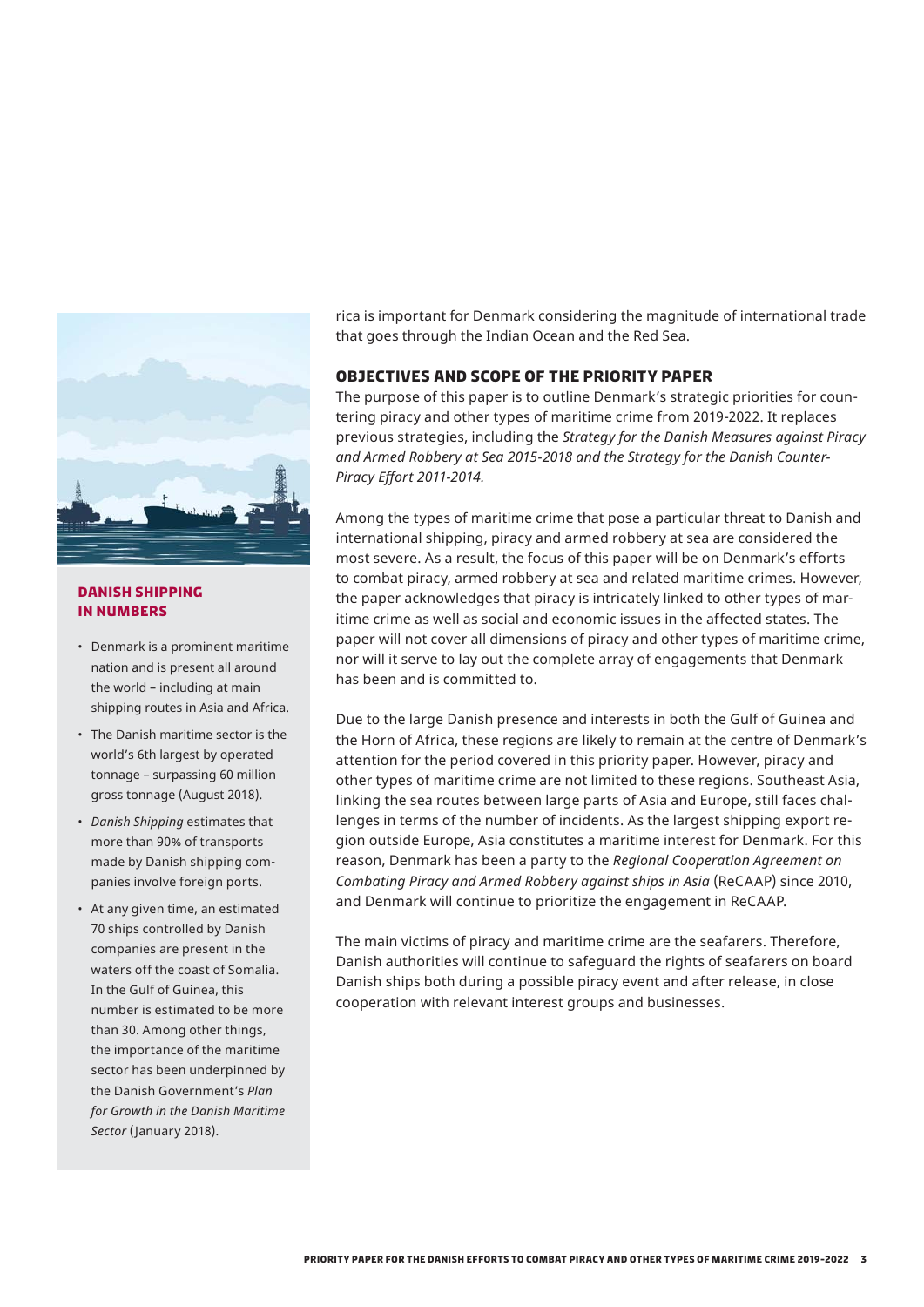

#### **DANISH SHIPPING IN NUMBERS**

- Denmark is a prominent maritime nation and is present all around the world – including at main shipping routes in Asia and Africa.
- The Danish maritime sector is the world's 6th largest by operated tonnage – surpassing 60 million gross tonnage (August 2018).
- ȏ७ *Danish Shipping* estimates that more than 90% of transports made by Danish shipping companies involve foreign ports.
- At any given time, an estimated 70 ships controlled by Danish companies are present in the waters off the coast of Somalia. In the Gulf of Guinea, this number is estimated to be more than 30. Among other things, the importance of the maritime sector has been underpinned by the Danish Government's *Plan for Growth in the Danish Maritime Sector* (January 2018).

rica is important for Denmark considering the magnitude of international trade that goes through the Indian Ocean and the Red Sea.

### **OBJECTIVES AND SCOPE OF THE PRIORITY PAPER**

The purpose of this paper is to outline Denmark's strategic priorities for countering piracy and other types of maritime crime from 2019-2022. It replaces previous strategies, including the *Strategy for the Danish Measures against Piracy and Armed Robbery at Sea 2015-2018 and the Strategy for the Danish Counter-*Piracy Effort 2011-2014.

Among the types of maritime crime that pose a particular threat to Danish and international shipping, piracy and armed robbery at sea are considered the most severe. As a result, the focus of this paper will be on Denmark's efforts to combat piracy, armed robbery at sea and related maritime crimes. However, the paper acknowledges that piracy is intricately linked to other types of maritime crime as well as social and economic issues in the affected states. The paper will not cover all dimensions of piracy and other types of maritime crime, nor will it serve to lay out the complete array of engagements that Denmark has been and is committed to.

Due to the large Danish presence and interests in both the Gulf of Guinea and the Horn of Africa, these regions are likely to remain at the centre of Denmark's attention for the period covered in this priority paper. However, piracy and other types of maritime crime are not limited to these regions. Southeast Asia, linking the sea routes between large parts of Asia and Europe, still faces challenges in terms of the number of incidents. As the largest shipping export region outside Europe, Asia constitutes a maritime interest for Denmark. For this reason, Denmark has been a party to the *Regional Cooperation Agreement on Combating Piracy and Armed Robbery against ships in Asia* (ReCAAP) since 2010, and Denmark will continue to prioritize the engagement in ReCAAP.

The main victims of piracy and maritime crime are the seafarers. Therefore, Danish authorities will continue to safeguard the rights of seafarers on board Danish ships both during a possible piracy event and after release, in close cooperation with relevant interest groups and businesses.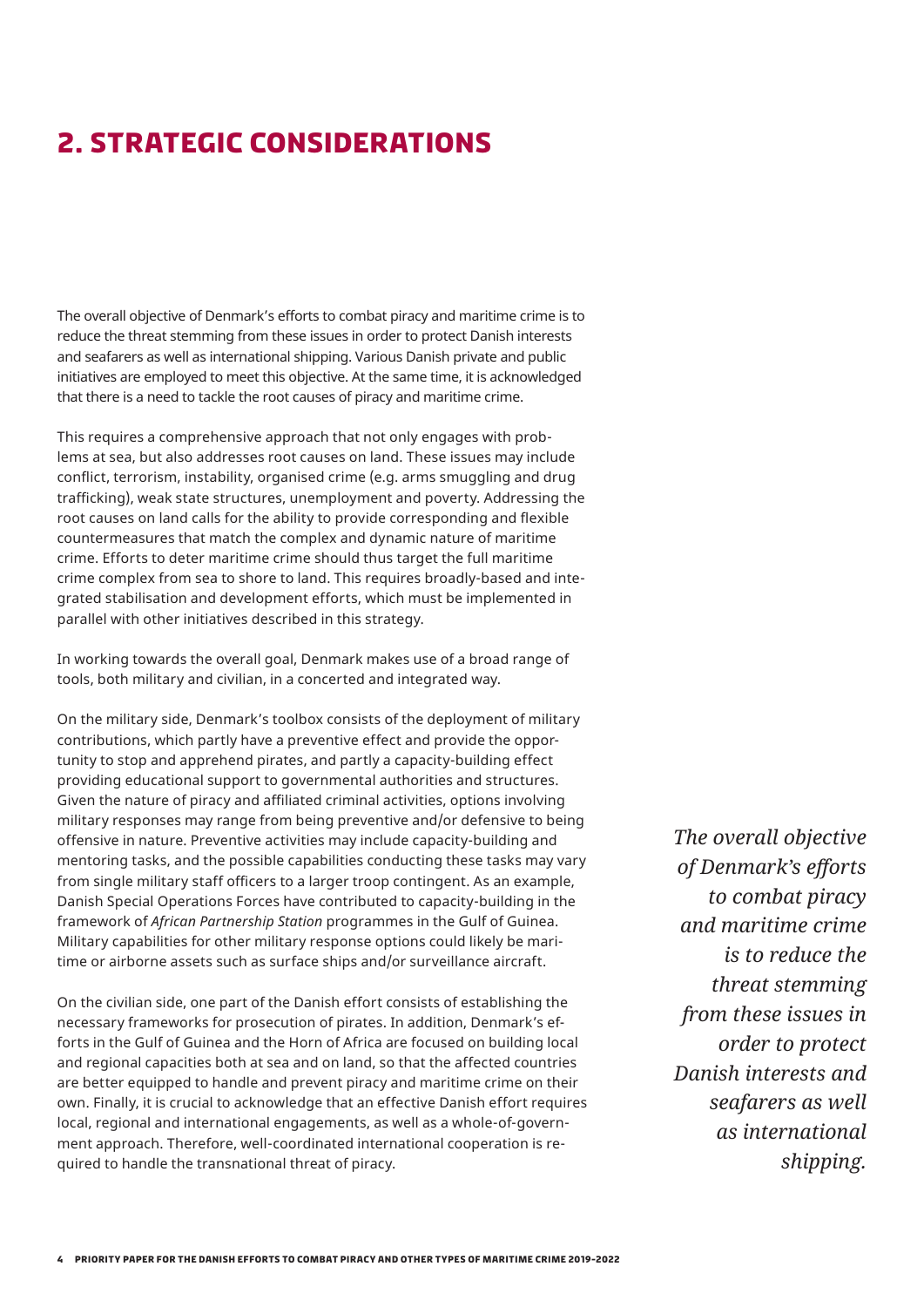### **2. STRATEGIC CONSIDERATIONS**

The overall objective of Denmark's efforts to combat piracy and maritime crime is to reduce the threat stemming from these issues in order to protect Danish interests and seafarers as well as international shipping. Various Danish private and public initiatives are employed to meet this objective. At the same time, it is acknowledged that there is a need to tackle the root causes of piracy and maritime crime.

This requires a comprehensive approach that not only engages with problems at sea, but also addresses root causes on land. These issues may include conflict, terrorism, instability, organised crime (e.g. arms smuggling and drug trafficking), weak state structures, unemployment and poverty. Addressing the root causes on land calls for the ability to provide corresponding and flexible countermeasures that match the complex and dynamic nature of maritime crime. Efforts to deter maritime crime should thus target the full maritime crime complex from sea to shore to land. This requires broadly-based and integrated stabilisation and development efforts, which must be implemented in parallel with other initiatives described in this strategy.

In working towards the overall goal, Denmark makes use of a broad range of tools, both military and civilian, in a concerted and integrated way.

On the military side, Denmark's toolbox consists of the deployment of military contributions, which partly have a preventive effect and provide the opportunity to stop and apprehend pirates, and partly a capacity-building effect providing educational support to governmental authorities and structures. Given the nature of piracy and affiliated criminal activities, options involving military responses may range from being preventive and/or defensive to being offensive in nature. Preventive activities may include capacity-building and mentoring tasks, and the possible capabilities conducting these tasks may vary from single military staff officers to a larger troop contingent. As an example, Danish Special Operations Forces have contributed to capacity-building in the framework of *African Partnership Station* programmes in the Gulf of Guinea. Military capabilities for other military response options could likely be maritime or airborne assets such as surface ships and/or surveillance aircraft.

On the civilian side, one part of the Danish effort consists of establishing the necessary frameworks for prosecution of pirates. In addition, Denmark's efforts in the Gulf of Guinea and the Horn of Africa are focused on building local and regional capacities both at sea and on land, so that the affected countries are better equipped to handle and prevent piracy and maritime crime on their own. Finally, it is crucial to acknowledge that an effective Danish effort requires local, regional and international engagements, as well as a whole-of-government approach. Therefore, well-coordinated international cooperation is required to handle the transnational threat of piracy.

*The overall objective*  of Denmark's efforts *to combat piracy and maritime crime is to reduce the threat stemming from these issues in order to protect Danish interests and seafarers as well as international shipping.*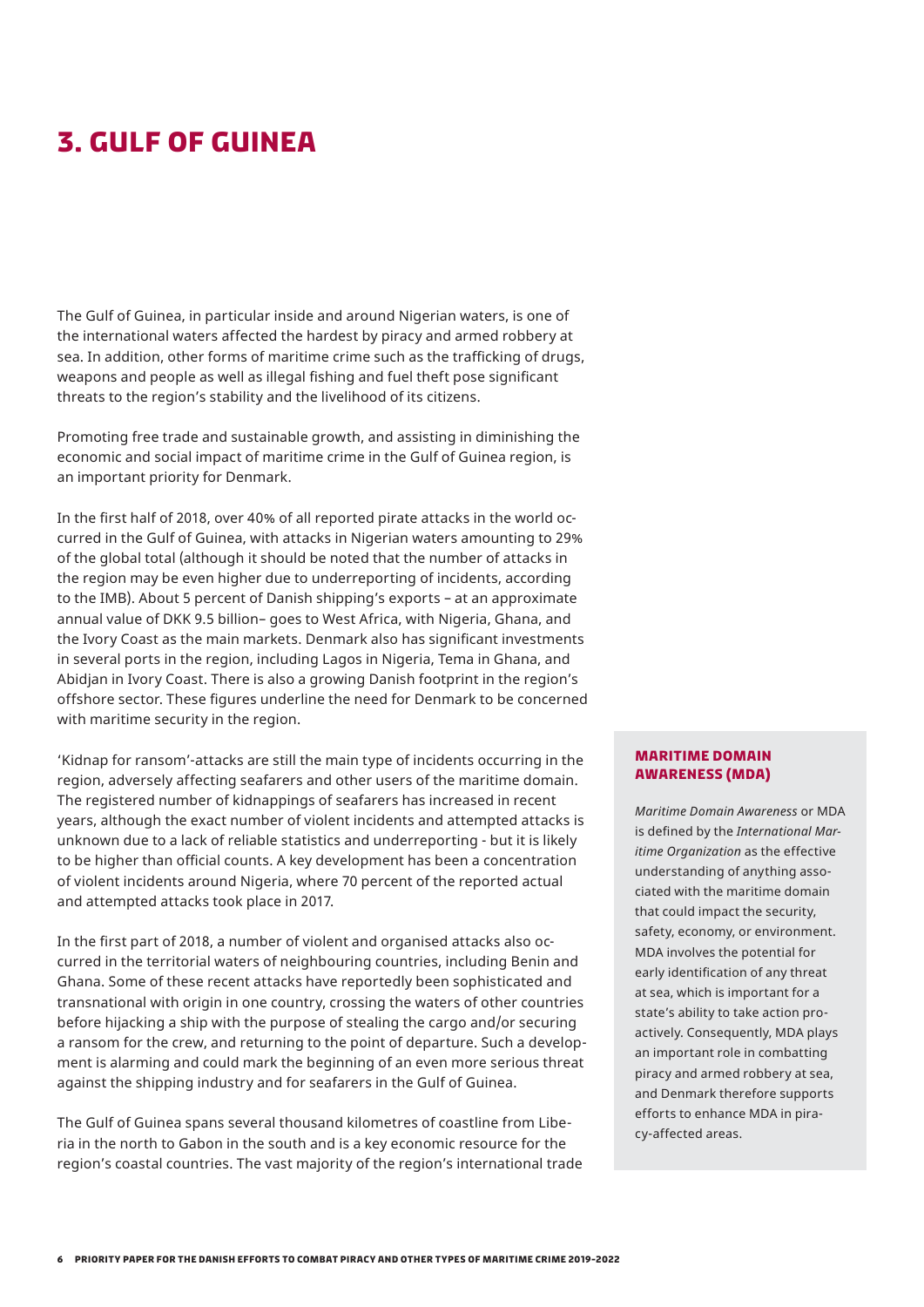### **CONTENT**

| <b>1. INTRODUCTION</b>            | 2  |
|-----------------------------------|----|
| <b>2. STRATEGIC CONSIDERATION</b> | Z  |
| <b>3. GULF OF GUINEA</b>          | 6  |
| <b>4. HORN OF AFRICA</b>          | 10 |
| <b>5. STOCKTAKING</b>             | 14 |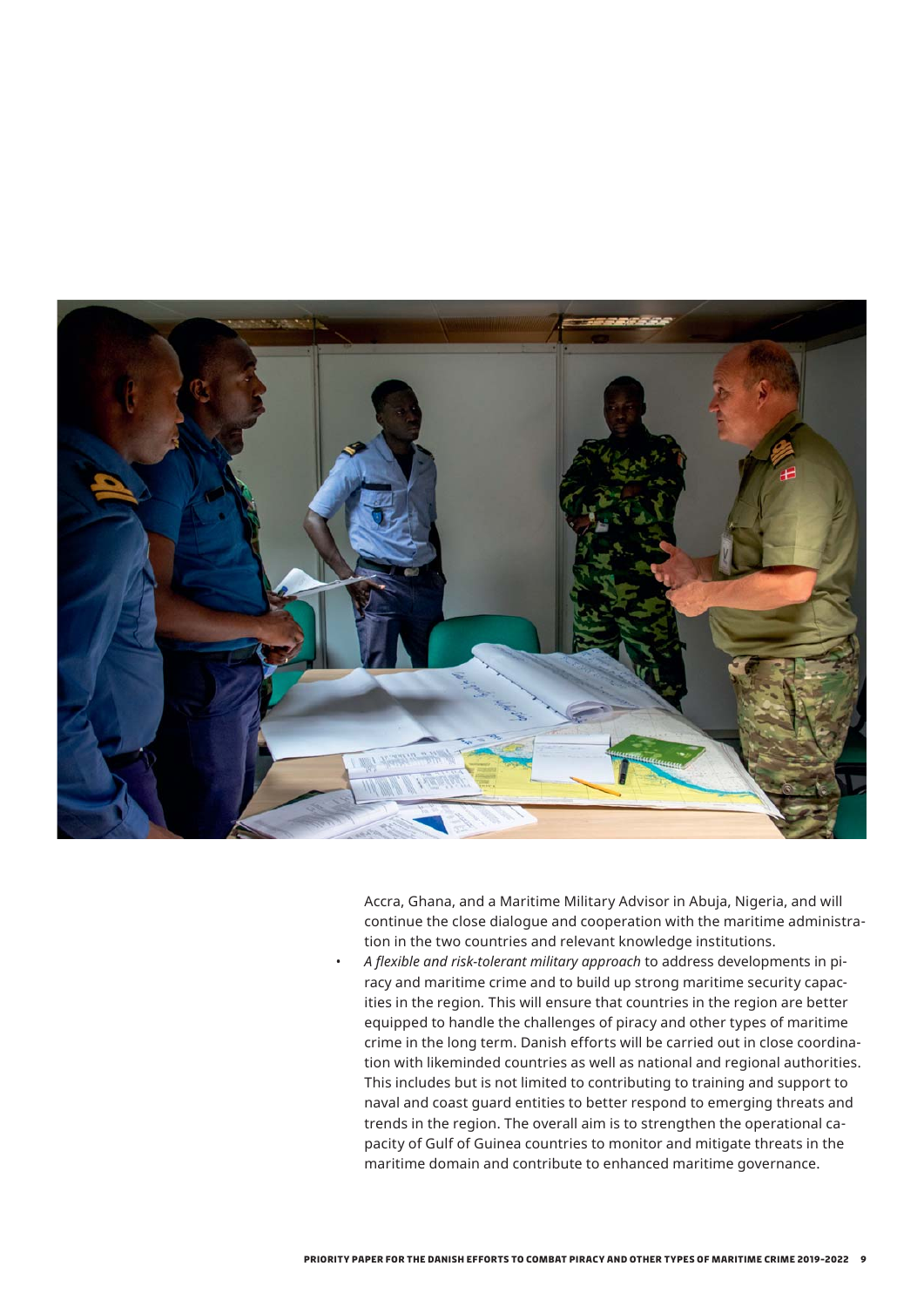

Accra, Ghana, and a Maritime Military Advisor in Abuja, Nigeria, and will continue the close dialogue and cooperation with the maritime administration in the two countries and relevant knowledge institutions.

A flexible and risk-tolerant military approach to address developments in piracy and maritime crime and to build up strong maritime security capacities in the region. This will ensure that countries in the region are better equipped to handle the challenges of piracy and other types of maritime crime in the long term. Danish efforts will be carried out in close coordination with likeminded countries as well as national and regional authorities. This includes but is not limited to contributing to training and support to naval and coast guard entities to better respond to emerging threats and trends in the region. The overall aim is to strengthen the operational capacity of Gulf of Guinea countries to monitor and mitigate threats in the maritime domain and contribute to enhanced maritime governance.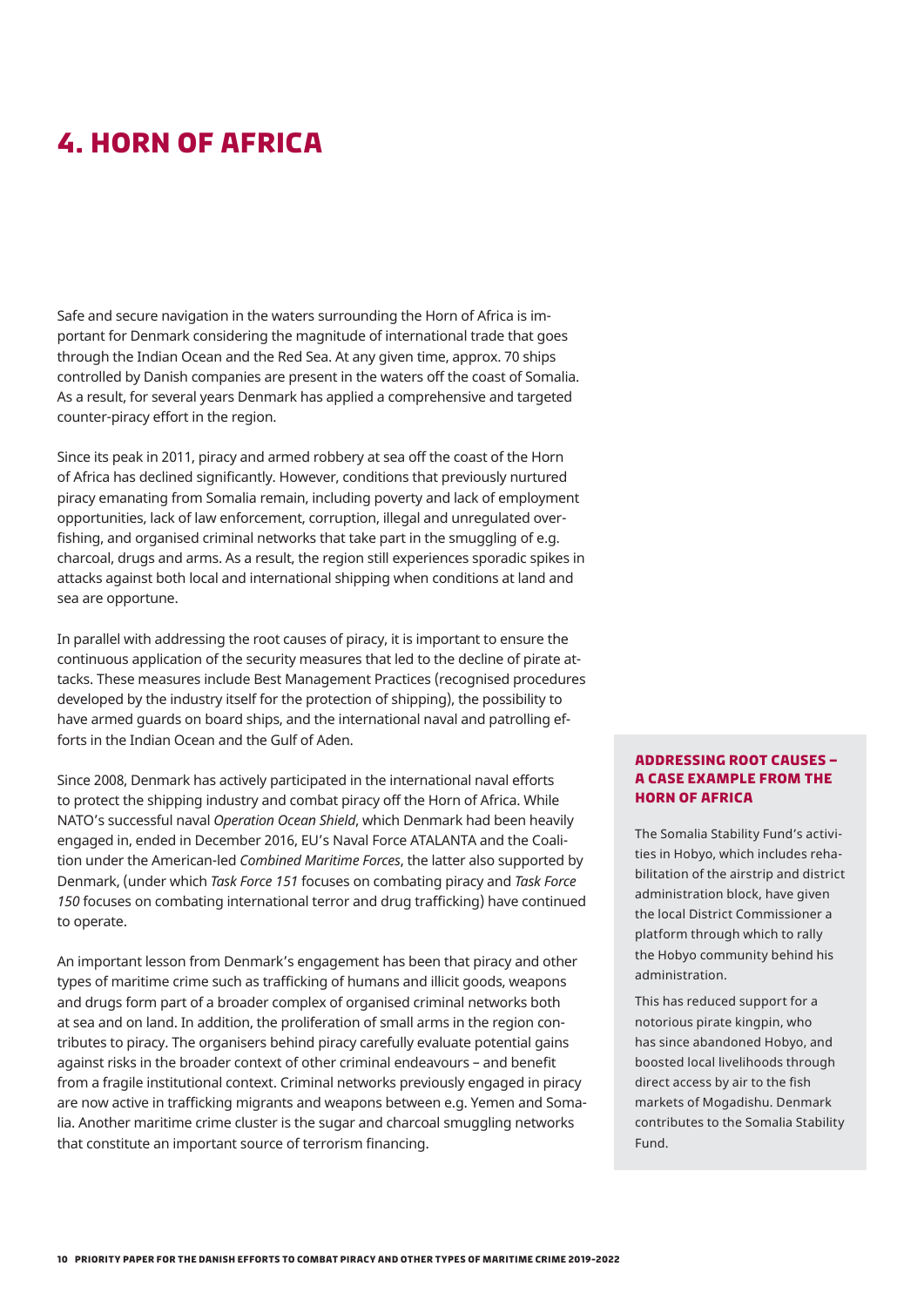### <span id="page-10-0"></span>**4. HORN OF AFRICA**

Safe and secure navigation in the waters surrounding the Horn of Africa is important for Denmark considering the magnitude of international trade that goes through the Indian Ocean and the Red Sea. At any given time, approx. 70 ships controlled by Danish companies are present in the waters off the coast of Somalia. As a result, for several years Denmark has applied a comprehensive and targeted counter-piracy effort in the region.

Since its peak in 2011, piracy and armed robbery at sea off the coast of the Horn of Africa has declined significantly. However, conditions that previously nurtured piracy emanating from Somalia remain, including poverty and lack of employment opportunities, lack of law enforcement, corruption, illegal and unregulated overfishing, and organised criminal networks that take part in the smuggling of e.g. charcoal, drugs and arms. As a result, the region still experiences sporadic spikes in attacks against both local and international shipping when conditions at land and sea are opportune.

In parallel with addressing the root causes of piracy, it is important to ensure the continuous application of the security measures that led to the decline of pirate attacks. These measures include Best Management Practices (recognised procedures developed by the industry itself for the protection of shipping), the possibility to have armed guards on board ships, and the international naval and patrolling efforts in the Indian Ocean and the Gulf of Aden.

Since 2008, Denmark has actively participated in the international naval efforts to protect the shipping industry and combat piracy off the Horn of Africa. While NATO's successful naval *Operation Ocean Shield*, which Denmark had been heavily engaged in, ended in December 2016, EU's Naval Force ATALANTA and the Coalition under the American-led *Combined Maritime Forces*, the latter also supported by Denmark, (under which *Task Force 151* focuses on combating piracy and *Task Force 150* focuses on combating international terror and drug trafficking) have continued to operate.

An important lesson from Denmark's engagement has been that piracy and other types of maritime crime such as trafficking of humans and illicit goods, weapons and drugs form part of a broader complex of organised criminal networks both at sea and on land. In addition, the proliferation of small arms in the region contributes to piracy. The organisers behind piracy carefully evaluate potential gains against risks in the broader context of other criminal endeavours – and benefit from a fragile institutional context. Criminal networks previously engaged in piracy are now active in trafficking migrants and weapons between e.g. Yemen and Somalia. Another maritime crime cluster is the sugar and charcoal smuggling networks that constitute an important source of terrorism financing.

#### **ADDRESSING ROOT CAUSES – A CASE EXAMPLE FROM THE HORN OF AFRICA**

The Somalia Stability Fund's activities in Hobyo, which includes rehabilitation of the airstrip and district administration block, have given the local District Commissioner a platform through which to rally the Hobyo community behind his administration.

This has reduced support for a notorious pirate kingpin, who has since abandoned Hobyo, and boosted local livelihoods through direct access by air to the fish markets of Mogadishu. Denmark contributes to the Somalia Stability Fund.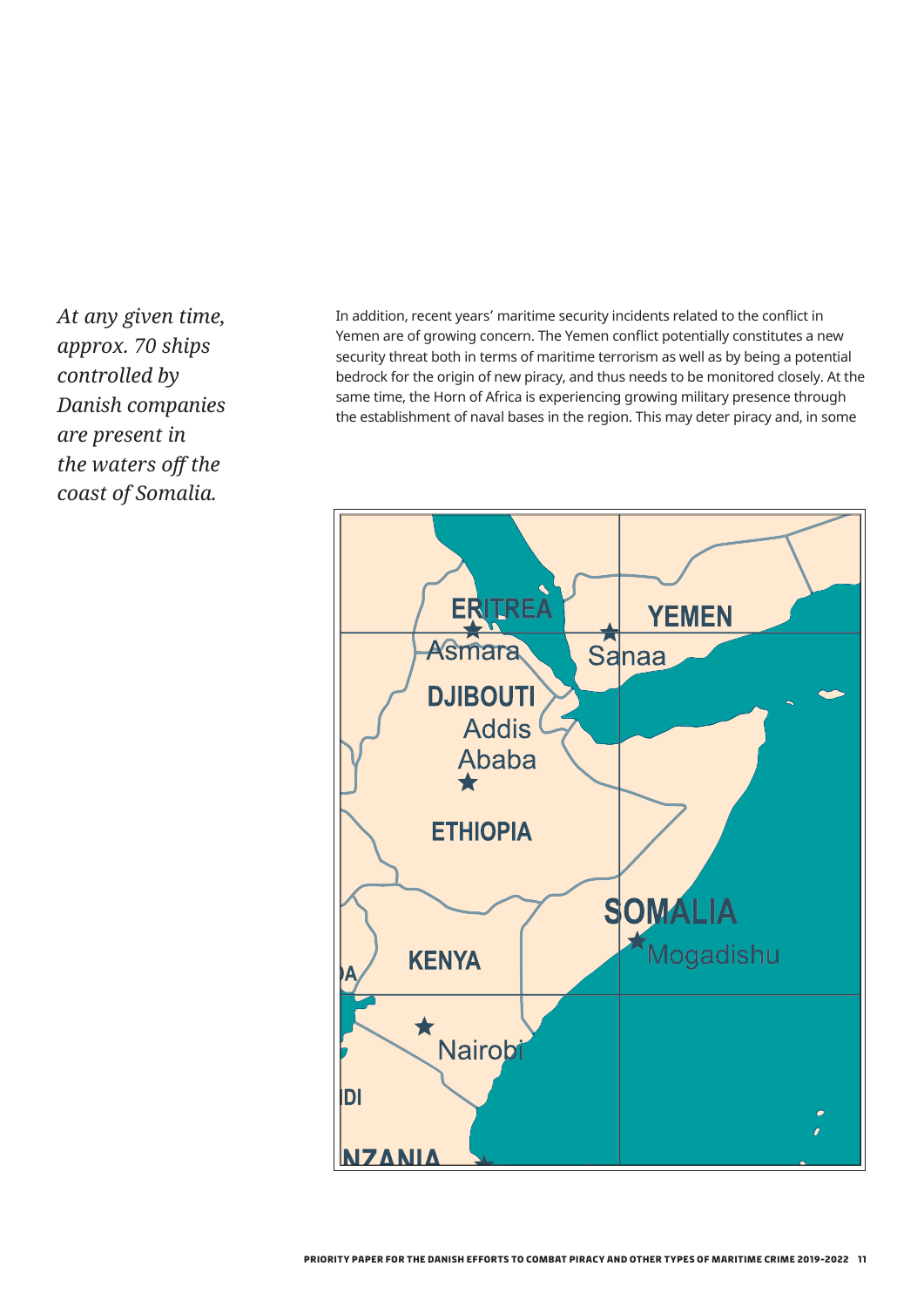controlled by *At any given time, approx. 70 ships controlled by Danish companies are present in*  the waters off the *coast of Somalia.* 

In addition, recent years' maritime security incidents related to the conflict in Yemen are of growing concern. The Yemen conflict potentially constitutes a new security threat both in terms of maritime terrorism as well as by being a potential bedrock for the origin of new piracy, and thus needs to be monitored closely. At the same time, the Horn of Africa is experiencing growing military presence through the establishment of naval bases in the region. This may deter piracy and, in some

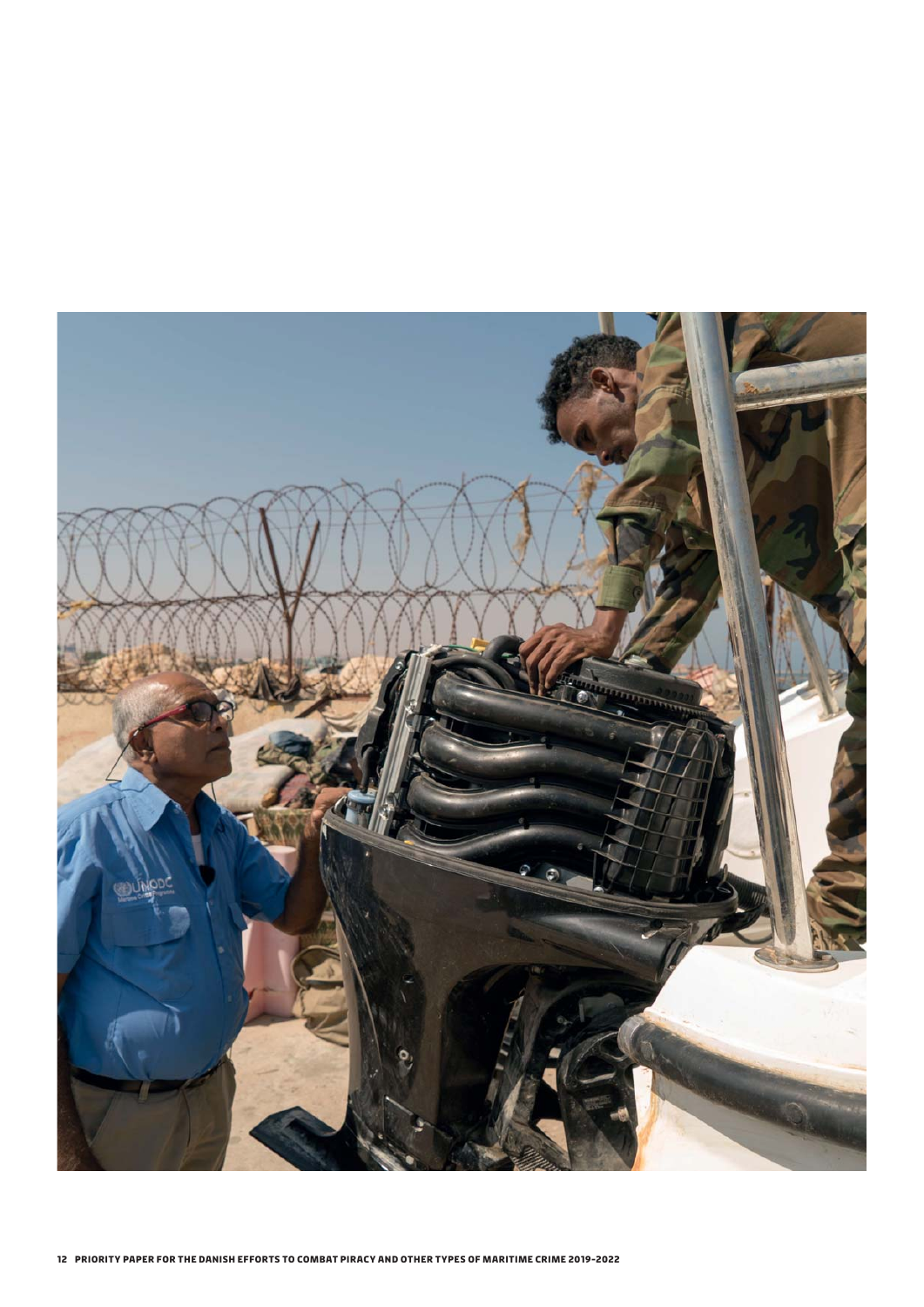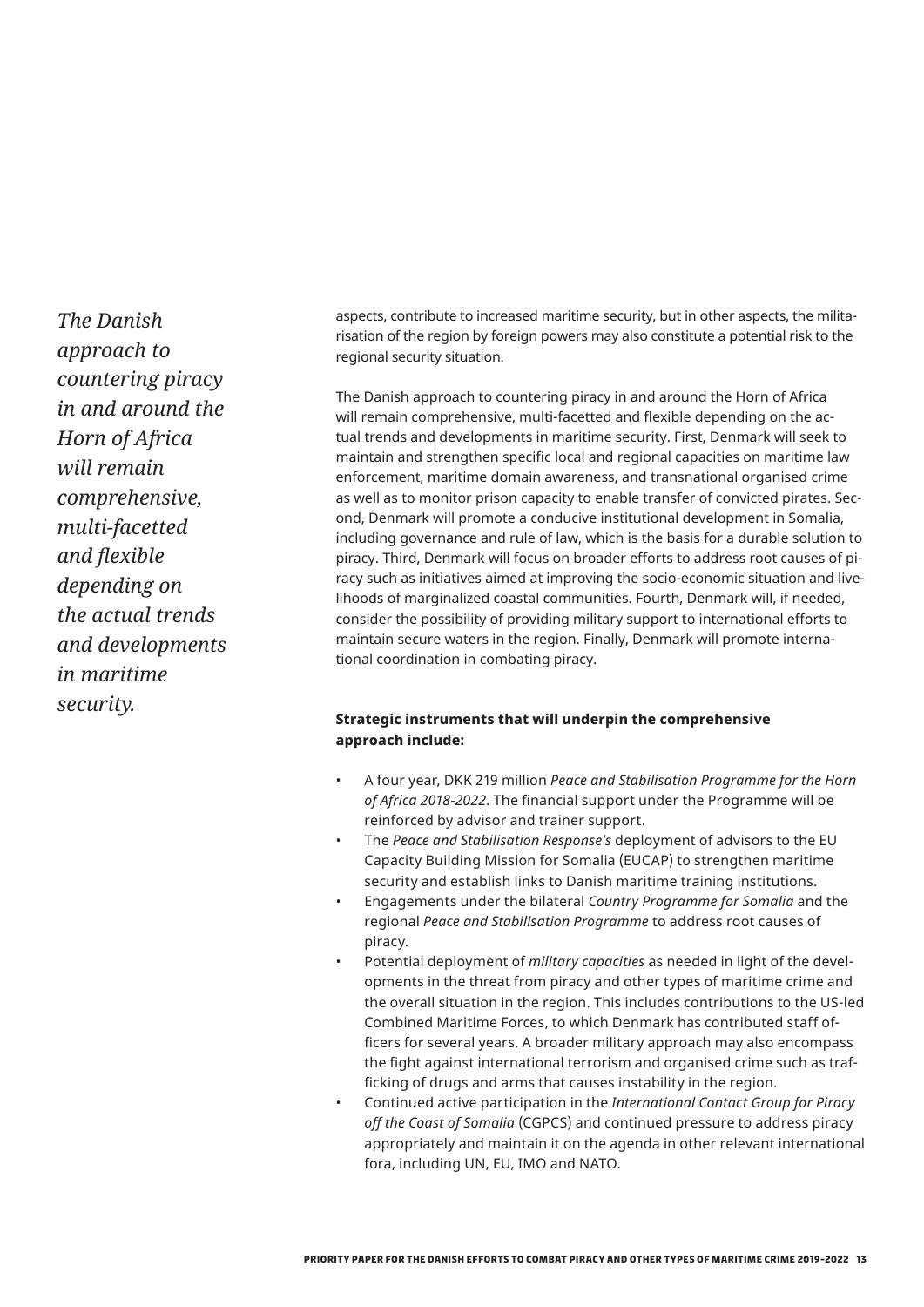*The Danish approach to countering piracy in and around the Horn of Africa will remain comprehensive, multi-facetted*  and *flexible depending on the actual trends and developments in maritime security.* 

aspects, contribute to increased maritime security, but in other aspects, the militarisation of the region by foreign powers may also constitute a potential risk to the regional security situation.

The Danish approach to countering piracy in and around the Horn of Africa will remain comprehensive, multi-facetted and flexible depending on the actual trends and developments in maritime security. First, Denmark will seek to maintain and strengthen specific local and regional capacities on maritime law enforcement, maritime domain awareness, and transnational organised crime as well as to monitor prison capacity to enable transfer of convicted pirates. Second, Denmark will promote a conducive institutional development in Somalia, including governance and rule of law, which is the basis for a durable solution to piracy. Third, Denmark will focus on broader efforts to address root causes of piracy such as initiatives aimed at improving the socio-economic situation and livelihoods of marginalized coastal communities. Fourth, Denmark will, if needed, consider the possibility of providing military support to international efforts to maintain secure waters in the region. Finally, Denmark will promote international coordination in combating piracy.

#### **Strategic instruments that will underpin the comprehensive approach include:**

- A four year, DKK 219 million Peace and Stabilisation Programme for the Horn of Africa 2018-2022. The financial support under the Programme will be reinforced by advisor and trainer support.
- The Peace and Stabilisation Response's deployment of advisors to the EU Capacity Building Mission for Somalia (EUCAP) to strengthen maritime security and establish links to Danish maritime training institutions.
- regional *Peace and Stabilisation Programme* to address root causes of<br>piracy. • Engagements under the bilateral Country Programme for Somalia and the
- Potential deployment of *military capacities* as needed in light of the developments in the threat from piracy and other types of maritime crime and the overall situation in the region. This includes contributions to the US-led Combined Maritime Forces, to which Denmark has contributed staff officers for several years. A broader military approach may also encompass the fight against international terrorism and organised crime such as trafficking of drugs and arms that causes instability in the region.
- Continued active participation in the *International Contact Group for Piracy* off the Coast of Somalia (CGPCS) and continued pressure to address piracy appropriately and maintain it on the agenda in other relevant international fora, including UN, EU, IMO and NATO.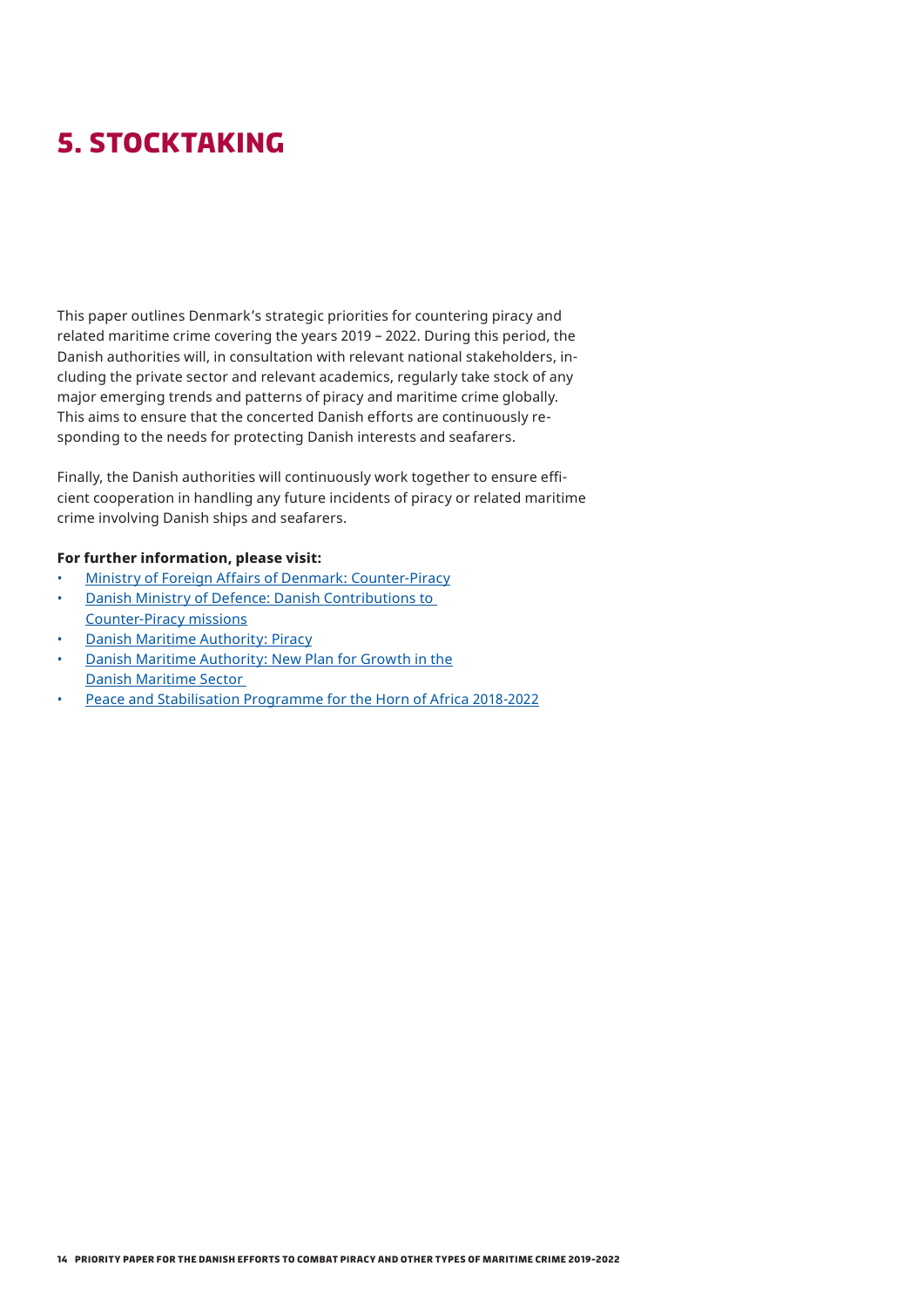### **5. STOCKTAKING**

This paper outlines Denmark's strategic priorities for countering piracy and related maritime crime covering the years 2019 – 2022. During this period, the Danish authorities will, in consultation with relevant national stakeholders, including the private sector and relevant academics, regularly take stock of any major emerging trends and patterns of piracy and maritime crime globally. This aims to ensure that the concerted Danish efforts are continuously responding to the needs for protecting Danish interests and seafarers.

Finally, the Danish authorities will continuously work together to ensure efficient cooperation in handling any future incidents of piracy or related maritime crime involving Danish ships and seafarers.

#### **For further information, please visit:**

- Ministry of Foreign Affairs of Denmark: Counter-Piracy
- Danish Ministry of Defence: Danish Contributions to Counter-Piracy missions
- Danish Maritime Authority: Piracy
- Danish Maritime Authority: New Plan for Growth in the Danish Maritime Sector
- Peace and Stabilisation Programme for the Horn of Africa 2018-2022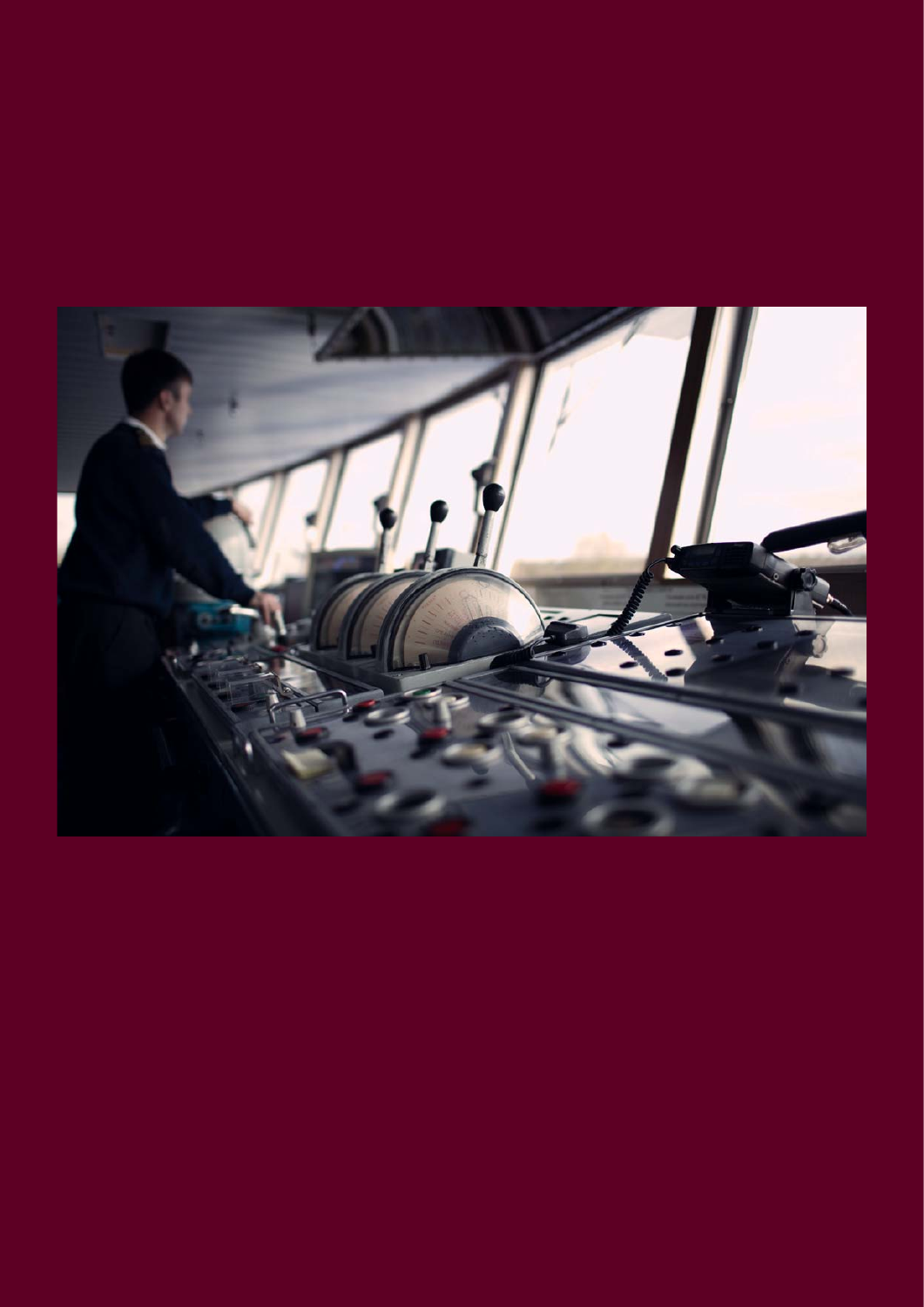